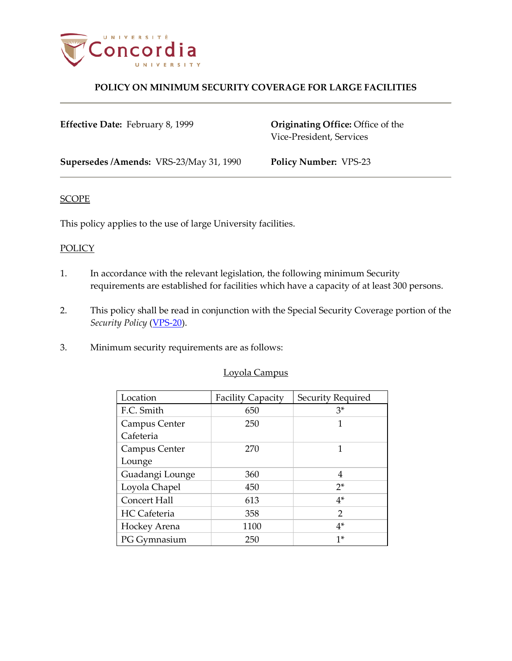

### **POLICY ON MINIMUM SECURITY COVERAGE FOR LARGE FACILITIES**

| <b>Effective Date: February 8, 1999</b> | <b>Originating Office:</b> Office of the<br>Vice-President, Services |
|-----------------------------------------|----------------------------------------------------------------------|
| Supersedes /Amends: VRS-23/May 31, 1990 | <b>Policy Number: VPS-23</b>                                         |

#### **SCOPE**

This policy applies to the use of large University facilities.

### **POLICY**

- 1. In accordance with the relevant legislation, the following minimum Security requirements are established for facilities which have a capacity of at least 300 persons.
- 2. This policy shall be read in conjunction with the Special Security Coverage portion of the *Security Policy* [\(VPS-20\)](http://www.concordia.ca/vpirsg/documents/policies/VPS-20.pdf).
- 3. Minimum security requirements are as follows:

| Lovola Campus |
|---------------|
|               |
|               |
|               |

| Location            | <b>Facility Capacity</b> | Security Required |
|---------------------|--------------------------|-------------------|
| F.C. Smith          | 650                      | $3*$              |
| Campus Center       | 250                      | 1                 |
| Cafeteria           |                          |                   |
| Campus Center       | 270                      | 1                 |
| Lounge              |                          |                   |
| Guadangi Lounge     | 360                      | 4                 |
| Loyola Chapel       | 450                      | $2^*$             |
| Concert Hall        | 613                      | $4*$              |
| <b>HC</b> Cafeteria | 358                      | $\overline{2}$    |
| Hockey Arena        | 1100                     | $4*$              |
| PG Gymnasium        | 250                      | $1*$              |